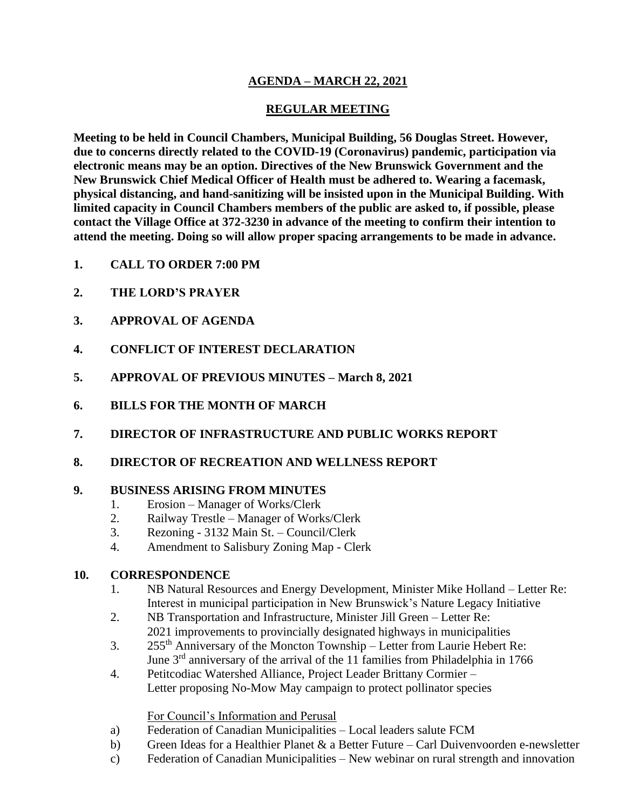### **AGENDA – MARCH 22, 2021**

## **REGULAR MEETING**

**Meeting to be held in Council Chambers, Municipal Building, 56 Douglas Street. However, due to concerns directly related to the COVID-19 (Coronavirus) pandemic, participation via electronic means may be an option. Directives of the New Brunswick Government and the New Brunswick Chief Medical Officer of Health must be adhered to. Wearing a facemask, physical distancing, and hand-sanitizing will be insisted upon in the Municipal Building. With limited capacity in Council Chambers members of the public are asked to, if possible, please contact the Village Office at 372-3230 in advance of the meeting to confirm their intention to attend the meeting. Doing so will allow proper spacing arrangements to be made in advance.**

- **1. CALL TO ORDER 7:00 PM**
- **2. THE LORD'S PRAYER**
- **3. APPROVAL OF AGENDA**
- **4. CONFLICT OF INTEREST DECLARATION**
- **5. APPROVAL OF PREVIOUS MINUTES – March 8, 2021**
- **6. BILLS FOR THE MONTH OF MARCH**
- **7. DIRECTOR OF INFRASTRUCTURE AND PUBLIC WORKS REPORT**
- **8. DIRECTOR OF RECREATION AND WELLNESS REPORT**

#### **9. BUSINESS ARISING FROM MINUTES**

- 1. Erosion Manager of Works/Clerk
- 2. Railway Trestle Manager of Works/Clerk
- 3. Rezoning 3132 Main St. Council/Clerk
- 4. Amendment to Salisbury Zoning Map Clerk

#### **10. CORRESPONDENCE**

- 1. NB Natural Resources and Energy Development, Minister Mike Holland Letter Re: Interest in municipal participation in New Brunswick's Nature Legacy Initiative
- 2. NB Transportation and Infrastructure, Minister Jill Green Letter Re: 2021 improvements to provincially designated highways in municipalities
- 3. 255<sup>th</sup> Anniversary of the Moncton Township Letter from Laurie Hebert Re: June 3rd anniversary of the arrival of the 11 families from Philadelphia in 1766
- 4. Petitcodiac Watershed Alliance, Project Leader Brittany Cormier Letter proposing No-Mow May campaign to protect pollinator species

#### For Council's Information and Perusal

- a) Federation of Canadian Municipalities Local leaders salute FCM
- b) Green Ideas for a Healthier Planet  $\&$  a Better Future Carl Duivenvoorden e-newsletter
- c) Federation of Canadian Municipalities New webinar on rural strength and innovation